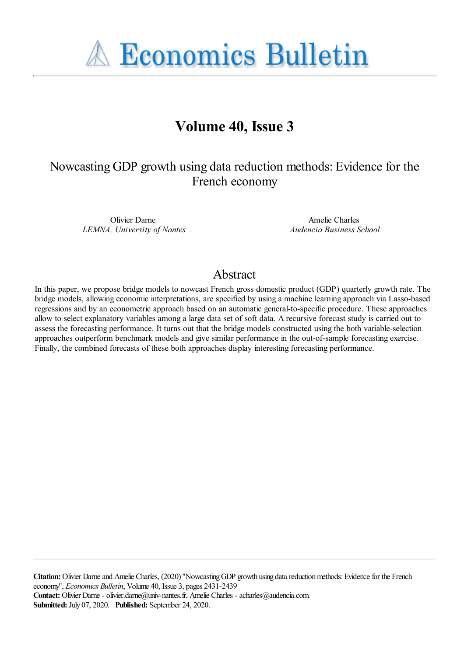**A Economics Bulletin** 

# **Volume 40, Issue 3**

# Nowcasting GDP growth using data reduction methods: Evidence for the French economy

Olivier Darne *LEMNA, University of Nantes*

Amelie Charles *Audencia Business School*

# Abstract

In this paper, we propose bridge models to nowcast French gross domestic product (GDP) quarterly growth rate. The bridge models, allowing economic interpretations, are specified by using a machine learning approach via Lasso-based regressions and by an econometric approach based on an automatic general-to-specific procedure. These approaches allow to select explanatory variables among a large data set of soft data. A recursive forecast study is carried out to assess the forecasting performance. It turns out that the bridge models constructed using the both variable-selection approaches outperform benchmark models and give similar performance in the out-of-sample forecasting exercise. Finally, the combined forecasts of these both approaches display interesting forecasting performance.

**Citation:** Olivier Darne and Amelie Charles, (2020) ''Nowcasting GDP growth using data reduction methods: Evidence for the French economy'', *Economics Bulletin*, Volume 40, Issue 3, pages 2431-2439 Contact: Olivier Darne - olivier.darne@univ-nantes.fr, Amelie Charles - acharles@audencia.com **Submitted:** July 07, 2020. **Published:** September 24, 2020.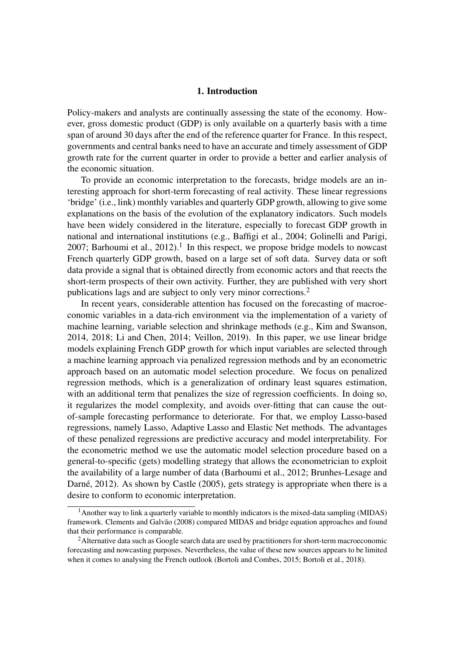## 1. Introduction

Policy-makers and analysts are continually assessing the state of the economy. However, gross domestic product (GDP) is only available on a quarterly basis with a time span of around 30 days after the end of the reference quarter for France. In this respect, governments and central banks need to have an accurate and timely assessment of GDP growth rate for the current quarter in order to provide a better and earlier analysis of the economic situation.

To provide an economic interpretation to the forecasts, bridge models are an interesting approach for short-term forecasting of real activity. These linear regressions 'bridge' (i.e., link) monthly variables and quarterly GDP growth, allowing to give some explanations on the basis of the evolution of the explanatory indicators. Such models have been widely considered in the literature, especially to forecast GDP growth in national and international institutions (e.g., Baffigi et al., 2004; Golinelli and Parigi, 2007; Barhoumi et al., 2012).<sup>1</sup> In this respect, we propose bridge models to nowcast French quarterly GDP growth, based on a large set of soft data. Survey data or soft data provide a signal that is obtained directly from economic actors and that reects the short-term prospects of their own activity. Further, they are published with very short publications lags and are subject to only very minor corrections.<sup>2</sup>

In recent years, considerable attention has focused on the forecasting of macroeconomic variables in a data-rich environment via the implementation of a variety of machine learning, variable selection and shrinkage methods (e.g., Kim and Swanson, 2014, 2018; Li and Chen, 2014; Veillon, 2019). In this paper, we use linear bridge models explaining French GDP growth for which input variables are selected through a machine learning approach via penalized regression methods and by an econometric approach based on an automatic model selection procedure. We focus on penalized regression methods, which is a generalization of ordinary least squares estimation, with an additional term that penalizes the size of regression coefficients. In doing so, it regularizes the model complexity, and avoids over-fitting that can cause the outof-sample forecasting performance to deteriorate. For that, we employ Lasso-based regressions, namely Lasso, Adaptive Lasso and Elastic Net methods. The advantages of these penalized regressions are predictive accuracy and model interpretability. For the econometric method we use the automatic model selection procedure based on a general-to-specific (gets) modelling strategy that allows the econometrician to exploit the availability of a large number of data (Barhoumi et al., 2012; Brunhes-Lesage and Darné, 2012). As shown by Castle (2005), gets strategy is appropriate when there is a desire to conform to economic interpretation.

 $<sup>1</sup>$  Another way to link a quarterly variable to monthly indicators is the mixed-data sampling (MIDAS)</sup> framework. Clements and Galvão (2008) compared MIDAS and bridge equation approaches and found that their performance is comparable.

<sup>&</sup>lt;sup>2</sup> Alternative data such as Google search data are used by practitioners for short-term macroeconomic forecasting and nowcasting purposes. Nevertheless, the value of these new sources appears to be limited when it comes to analysing the French outlook (Bortoli and Combes, 2015; Bortoli et al., 2018).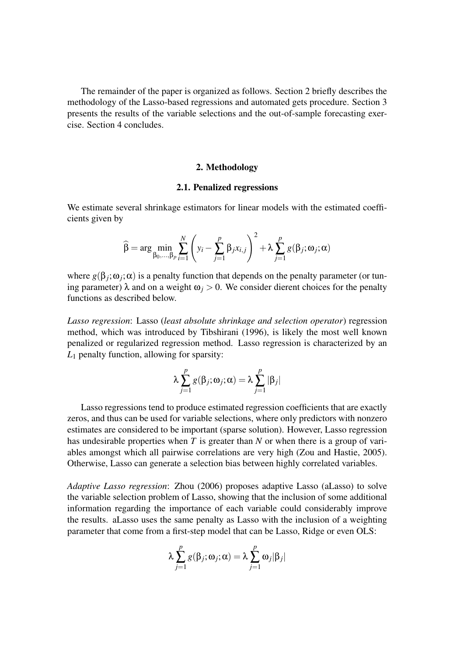The remainder of the paper is organized as follows. Section 2 briefly describes the methodology of the Lasso-based regressions and automated gets procedure. Section 3 presents the results of the variable selections and the out-of-sample forecasting exercise. Section 4 concludes.

# 2. Methodology

#### 2.1. Penalized regressions

We estimate several shrinkage estimators for linear models with the estimated coefficients given by

$$
\widehat{\beta} = \arg \min_{\beta_0, ..., \beta_p} \sum_{i=1}^N \left( y_i - \sum_{j=1}^p \beta_j x_{i,j} \right)^2 + \lambda \sum_{j=1}^p g(\beta_j; \omega_j; \alpha)
$$

where  $g(\beta_j; \omega_j; \alpha)$  is a penalty function that depends on the penalty parameter (or tuning parameter)  $\lambda$  and on a weight  $\omega$ <sub>*i*</sub> > 0. We consider dierent choices for the penalty functions as described below.

*Lasso regression*: Lasso (*least absolute shrinkage and selection operator*) regression method, which was introduced by Tibshirani (1996), is likely the most well known penalized or regularized regression method. Lasso regression is characterized by an *L*<sup>1</sup> penalty function, allowing for sparsity:

$$
\lambda \sum_{j=1}^p g(\beta_j; \omega_j; \alpha) = \lambda \sum_{j=1}^p |\beta_j|
$$

Lasso regressions tend to produce estimated regression coefficients that are exactly zeros, and thus can be used for variable selections, where only predictors with nonzero estimates are considered to be important (sparse solution). However, Lasso regression has undesirable properties when *T* is greater than *N* or when there is a group of variables amongst which all pairwise correlations are very high (Zou and Hastie, 2005). Otherwise, Lasso can generate a selection bias between highly correlated variables.

*Adaptive Lasso regression*: Zhou (2006) proposes adaptive Lasso (aLasso) to solve the variable selection problem of Lasso, showing that the inclusion of some additional information regarding the importance of each variable could considerably improve the results. aLasso uses the same penalty as Lasso with the inclusion of a weighting parameter that come from a first-step model that can be Lasso, Ridge or even OLS:

$$
\lambda \sum_{j=1}^p g(\beta_j; \omega_j; \alpha) = \lambda \sum_{j=1}^p \omega_j |\beta_j|
$$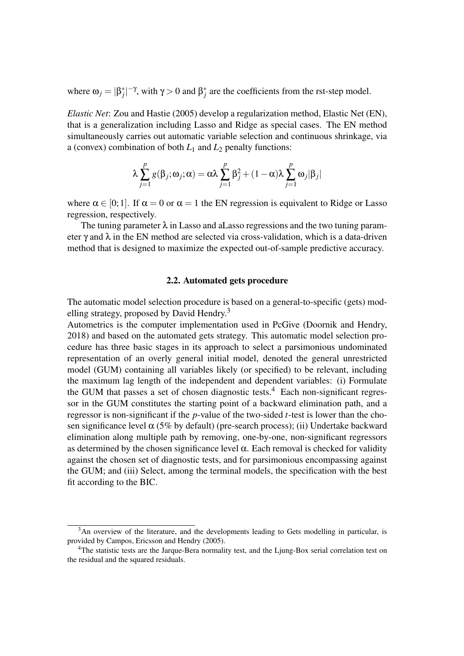where  $\omega_j = |\beta_j^*|^{-\gamma}$ , with  $\gamma > 0$  and  $\beta_j^*$  are the coefficients from the rst-step model.

*Elastic Net*: Zou and Hastie (2005) develop a regularization method, Elastic Net (EN), that is a generalization including Lasso and Ridge as special cases. The EN method simultaneously carries out automatic variable selection and continuous shrinkage, via a (convex) combination of both *L*<sup>1</sup> and *L*<sup>2</sup> penalty functions:

$$
\lambda \sum_{j=1}^p g(\beta_j; \omega_j; \alpha) = \alpha \lambda \sum_{j=1}^p \beta_j^2 + (1 - \alpha) \lambda \sum_{j=1}^p \omega_j |\beta_j|
$$

where  $\alpha \in [0, 1]$ . If  $\alpha = 0$  or  $\alpha = 1$  the EN regression is equivalent to Ridge or Lasso regression, respectively.

The tuning parameter  $\lambda$  in Lasso and aLasso regressions and the two tuning parameter  $\gamma$  and  $\lambda$  in the EN method are selected via cross-validation, which is a data-driven method that is designed to maximize the expected out-of-sample predictive accuracy.

# 2.2. Automated gets procedure

The automatic model selection procedure is based on a general-to-specific (gets) modelling strategy, proposed by David Hendry.<sup>3</sup>

Autometrics is the computer implementation used in PcGive (Doornik and Hendry, 2018) and based on the automated gets strategy. This automatic model selection procedure has three basic stages in its approach to select a parsimonious undominated representation of an overly general initial model, denoted the general unrestricted model (GUM) containing all variables likely (or specified) to be relevant, including the maximum lag length of the independent and dependent variables: (i) Formulate the GUM that passes a set of chosen diagnostic tests.<sup>4</sup> Each non-significant regressor in the GUM constitutes the starting point of a backward elimination path, and a regressor is non-significant if the *p*-value of the two-sided *t*-test is lower than the chosen significance level α (5% by default) (pre-search process); (ii) Undertake backward elimination along multiple path by removing, one-by-one, non-significant regressors as determined by the chosen significance level  $\alpha$ . Each removal is checked for validity against the chosen set of diagnostic tests, and for parsimonious encompassing against the GUM; and (iii) Select, among the terminal models, the specification with the best fit according to the BIC.

 $3$ An overview of the literature, and the developments leading to Gets modelling in particular, is provided by Campos, Ericsson and Hendry (2005).

<sup>4</sup>The statistic tests are the Jarque-Bera normality test, and the Ljung-Box serial correlation test on the residual and the squared residuals.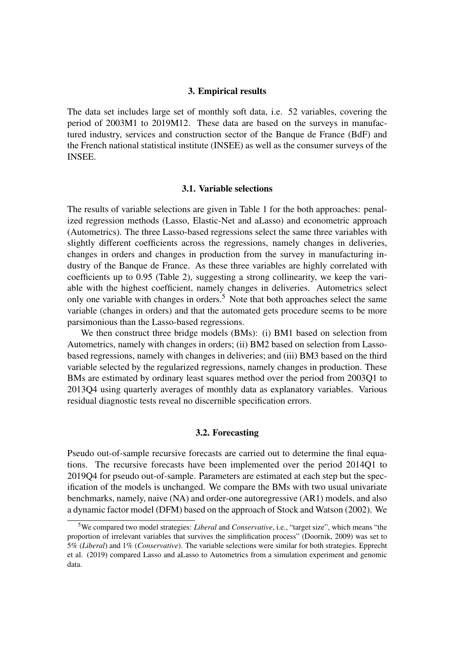#### 3. Empirical results

The data set includes large set of monthly soft data, i.e. 52 variables, covering the period of 2003M1 to 2019M12. These data are based on the surveys in manufactured industry, services and construction sector of the Banque de France (BdF) and the French national statistical institute (INSEE) as well as the consumer surveys of the INSEE.

### 3.1. Variable selections

The results of variable selections are given in Table 1 for the both approaches: penalized regression methods (Lasso, Elastic-Net and aLasso) and econometric approach (Autometrics). The three Lasso-based regressions select the same three variables with slightly different coefficients across the regressions, namely changes in deliveries, changes in orders and changes in production from the survey in manufacturing industry of the Banque de France. As these three variables are highly correlated with coefficients up to 0.95 (Table 2), suggesting a strong collinearity, we keep the variable with the highest coefficient, namely changes in deliveries. Autometrics select only one variable with changes in orders.<sup>5</sup> Note that both approaches select the same variable (changes in orders) and that the automated gets procedure seems to be more parsimonious than the Lasso-based regressions.

We then construct three bridge models (BMs): (i) BM1 based on selection from Autometrics, namely with changes in orders; (ii) BM2 based on selection from Lassobased regressions, namely with changes in deliveries; and (iii) BM3 based on the third variable selected by the regularized regressions, namely changes in production. These BMs are estimated by ordinary least squares method over the period from 2003Q1 to 2013Q4 using quarterly averages of monthly data as explanatory variables. Various residual diagnostic tests reveal no discernible specification errors.

#### 3.2. Forecasting

Pseudo out-of-sample recursive forecasts are carried out to determine the final equations. The recursive forecasts have been implemented over the period 2014Q1 to 2019Q4 for pseudo out-of-sample. Parameters are estimated at each step but the specification of the models is unchanged. We compare the BMs with two usual univariate benchmarks, namely, naive (NA) and order-one autoregressive (AR1) models, and also a dynamic factor model (DFM) based on the approach of Stock and Watson (2002). We

<sup>5</sup>We compared two model strategies: *Liberal* and *Conservative*, i.e., "target size", which means "the proportion of irrelevant variables that survives the simplification process" (Doornik, 2009) was set to 5% (*Liberal*) and 1% (*Conservative*). The variable selections were similar for both strategies. Epprecht et al. (2019) compared Lasso and aLasso to Autometrics from a simulation experiment and genomic data.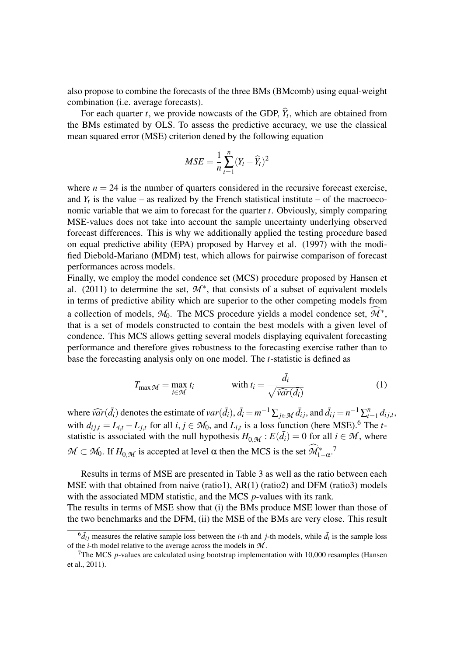also propose to combine the forecasts of the three BMs (BMcomb) using equal-weight combination (i.e. average forecasts).

For each quarter  $t$ , we provide nowcasts of the GDP,  $Y_t$ , which are obtained from the BMs estimated by OLS. To assess the predictive accuracy, we use the classical mean squared error (MSE) criterion dened by the following equation

$$
MSE = \frac{1}{n} \sum_{t=1}^{n} (Y_t - \widehat{Y}_t)^2
$$

where  $n = 24$  is the number of quarters considered in the recursive forecast exercise, and  $Y_t$  is the value – as realized by the French statistical institute – of the macroeconomic variable that we aim to forecast for the quarter *t*. Obviously, simply comparing MSE-values does not take into account the sample uncertainty underlying observed forecast differences. This is why we additionally applied the testing procedure based on equal predictive ability (EPA) proposed by Harvey et al. (1997) with the modified Diebold-Mariano (MDM) test, which allows for pairwise comparison of forecast performances across models.

Finally, we employ the model condence set (MCS) procedure proposed by Hansen et al. (2011) to determine the set,  $M^*$ , that consists of a subset of equivalent models in terms of predictive ability which are superior to the other competing models from a collection of models,  $M_0$ . The MCS procedure yields a model condence set,  $\widehat{\mathcal{M}}^*$ , that is a set of models constructed to contain the best models with a given level of condence. This MCS allows getting several models displaying equivalent forecasting performance and therefore gives robustness to the forecasting exercise rather than to base the forecasting analysis only on one model. The *t*-statistic is defined as

$$
T_{\max M} = \max_{i \in M} t_i \qquad \text{with } t_i = \frac{\bar{d}_i}{\sqrt{\widehat{var}(\bar{d}_i)}} \tag{1}
$$

where  $\widehat{var}(\bar{d}_i)$  denotes the estimate of  $var(\bar{d}_i)$ ,  $\bar{d}_i = m^{-1} \sum_{j \in \mathcal{M}} \bar{d}_{ij}$ , and  $\bar{d}_{ij} = n^{-1} \sum_{t} n^{-1}$  $n_{t=1}$   $d_{ij,t}$ , with  $d_{ij,t} = L_{i,t} - L_{j,t}$  for all  $i, j \in M_0$ , and  $L_{i,t}$  is a loss function (here MSE).<sup>6</sup> The *t*statistic is associated with the null hypothesis  $H_{0,\mathcal{M}}$ :  $E(\bar{d}_i) = 0$  for all  $i \in \mathcal{M}$ , where  $M \subset M_0$ . If  $H_{0,M}$  is accepted at level  $\alpha$  then the MCS is the set  $\widehat{M}_{1-\alpha}^*$ .<sup>7</sup>

Results in terms of MSE are presented in Table 3 as well as the ratio between each MSE with that obtained from naive (ratio1), AR(1) (ratio2) and DFM (ratio3) models with the associated MDM statistic, and the MCS *p*-values with its rank. The results in terms of MSE show that (i) the BMs produce MSE lower than those of

the two benchmarks and the DFM, (ii) the MSE of the BMs are very close. This result

 ${}^6\bar{d}_{ij}$  measures the relative sample loss between the *i*-th and *j*-th models, while  $\bar{d}_i$  is the sample loss of the *i*-th model relative to the average across the models in *M* .

<sup>7</sup>The MCS *p*-values are calculated using bootstrap implementation with 10,000 resamples (Hansen et al., 2011).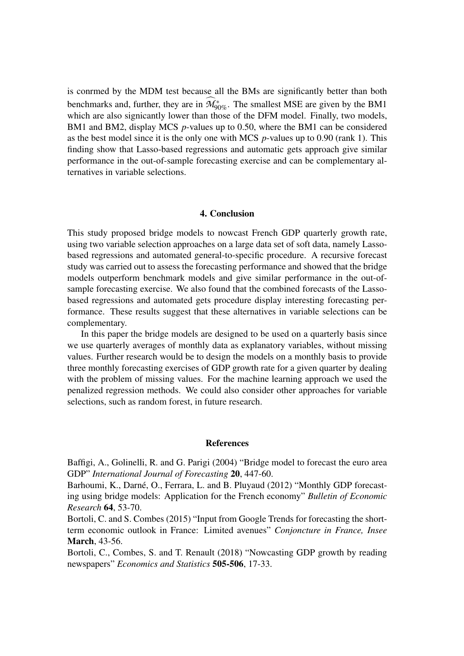is conrmed by the MDM test because all the BMs are significantly better than both benchmarks and, further, they are in  $\widehat{\mathcal{M}}_{90\%}^{*}$ . The smallest MSE are given by the BM1 which are also signicantly lower than those of the DFM model. Finally, two models, BM1 and BM2, display MCS *p*-values up to 0.50, where the BM1 can be considered as the best model since it is the only one with MCS *p*-values up to 0.90 (rank 1). This finding show that Lasso-based regressions and automatic gets approach give similar performance in the out-of-sample forecasting exercise and can be complementary alternatives in variable selections.

# 4. Conclusion

This study proposed bridge models to nowcast French GDP quarterly growth rate, using two variable selection approaches on a large data set of soft data, namely Lassobased regressions and automated general-to-specific procedure. A recursive forecast study was carried out to assess the forecasting performance and showed that the bridge models outperform benchmark models and give similar performance in the out-ofsample forecasting exercise. We also found that the combined forecasts of the Lassobased regressions and automated gets procedure display interesting forecasting performance. These results suggest that these alternatives in variable selections can be complementary.

In this paper the bridge models are designed to be used on a quarterly basis since we use quarterly averages of monthly data as explanatory variables, without missing values. Further research would be to design the models on a monthly basis to provide three monthly forecasting exercises of GDP growth rate for a given quarter by dealing with the problem of missing values. For the machine learning approach we used the penalized regression methods. We could also consider other approaches for variable selections, such as random forest, in future research.

#### **References**

Baffigi, A., Golinelli, R. and G. Parigi (2004) "Bridge model to forecast the euro area GDP" *International Journal of Forecasting* 20, 447-60.

Barhoumi, K., Darné, O., Ferrara, L. and B. Pluyaud (2012) "Monthly GDP forecasting using bridge models: Application for the French economy" *Bulletin of Economic Research* 64, 53-70.

Bortoli, C. and S. Combes (2015) "Input from Google Trends for forecasting the shortterm economic outlook in France: Limited avenues" *Conjoncture in France, Insee* March, 43-56.

Bortoli, C., Combes, S. and T. Renault (2018) "Nowcasting GDP growth by reading newspapers" *Economics and Statistics* 505-506, 17-33.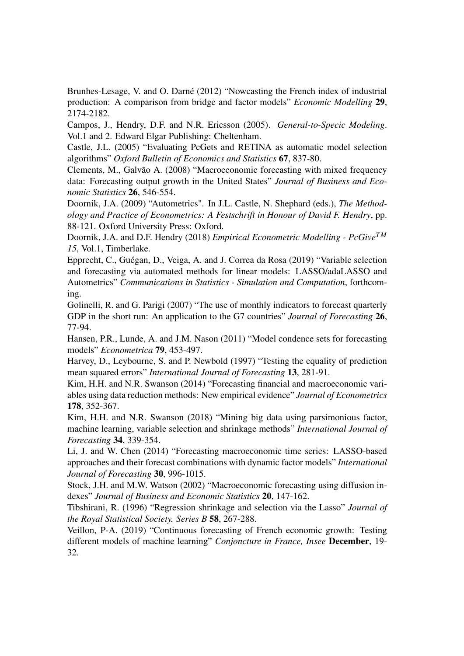Brunhes-Lesage, V. and O. Darné (2012) "Nowcasting the French index of industrial production: A comparison from bridge and factor models" *Economic Modelling* 29, 2174-2182.

Campos, J., Hendry, D.F. and N.R. Ericsson (2005). *General-to-Specic Modeling*. Vol.1 and 2. Edward Elgar Publishing: Cheltenham.

Castle, J.L. (2005) "Evaluating PcGets and RETINA as automatic model selection algorithms" *Oxford Bulletin of Economics and Statistics* 67, 837-80.

Clements, M., Galvão A. (2008) "Macroeconomic forecasting with mixed frequency data: Forecasting output growth in the United States" *Journal of Business and Economic Statistics* 26, 546-554.

Doornik, J.A. (2009) "Autometrics". In J.L. Castle, N. Shephard (eds.), *The Methodology and Practice of Econometrics: A Festschrift in Honour of David F. Hendry*, pp. 88-121. Oxford University Press: Oxford.

Doornik, J.A. and D.F. Hendry (2018) *Empirical Econometric Modelling - PcGiveT M 15*, Vol.1, Timberlake.

Epprecht, C., Guégan, D., Veiga, A. and J. Correa da Rosa (2019) "Variable selection and forecasting via automated methods for linear models: LASSO/adaLASSO and Autometrics" *Communications in Statistics - Simulation and Computation*, forthcoming.

Golinelli, R. and G. Parigi (2007) "The use of monthly indicators to forecast quarterly GDP in the short run: An application to the G7 countries" *Journal of Forecasting* 26, 77-94.

Hansen, P.R., Lunde, A. and J.M. Nason (2011) "Model condence sets for forecasting models" *Econometrica* 79, 453-497.

Harvey, D., Leybourne, S. and P. Newbold (1997) "Testing the equality of prediction mean squared errors" *International Journal of Forecasting* 13, 281-91.

Kim, H.H. and N.R. Swanson (2014) "Forecasting financial and macroeconomic variables using data reduction methods: New empirical evidence" *Journal of Econometrics* 178, 352-367.

Kim, H.H. and N.R. Swanson (2018) "Mining big data using parsimonious factor, machine learning, variable selection and shrinkage methods" *International Journal of Forecasting* 34, 339-354.

Li, J. and W. Chen (2014) "Forecasting macroeconomic time series: LASSO-based approaches and their forecast combinations with dynamic factor models" *International Journal of Forecasting* 30, 996-1015.

Stock, J.H. and M.W. Watson (2002) "Macroeconomic forecasting using diffusion indexes" *Journal of Business and Economic Statistics* 20, 147-162.

Tibshirani, R. (1996) "Regression shrinkage and selection via the Lasso" *Journal of the Royal Statistical Society. Series B* 58, 267-288.

Veillon, P-A. (2019) "Continuous forecasting of French economic growth: Testing different models of machine learning" *Conjoncture in France, Insee* December, 19- 32.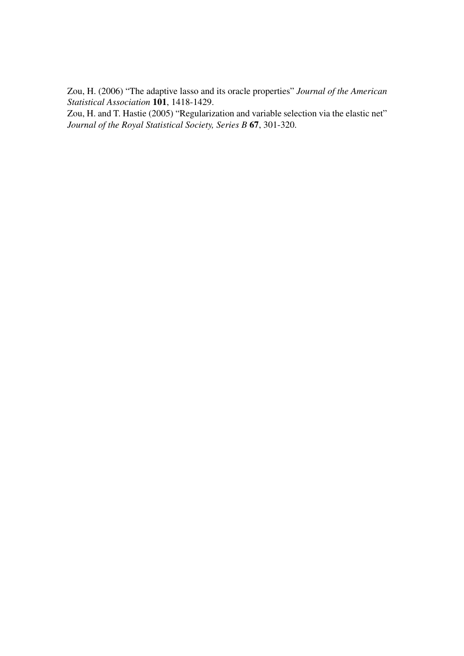Zou, H. (2006) "The adaptive lasso and its oracle properties" *Journal of the American Statistical Association* 101, 1418-1429.

Zou, H. and T. Hastie (2005) "Regularization and variable selection via the elastic net" *Journal of the Royal Statistical Society, Series B* 67, 301-320.